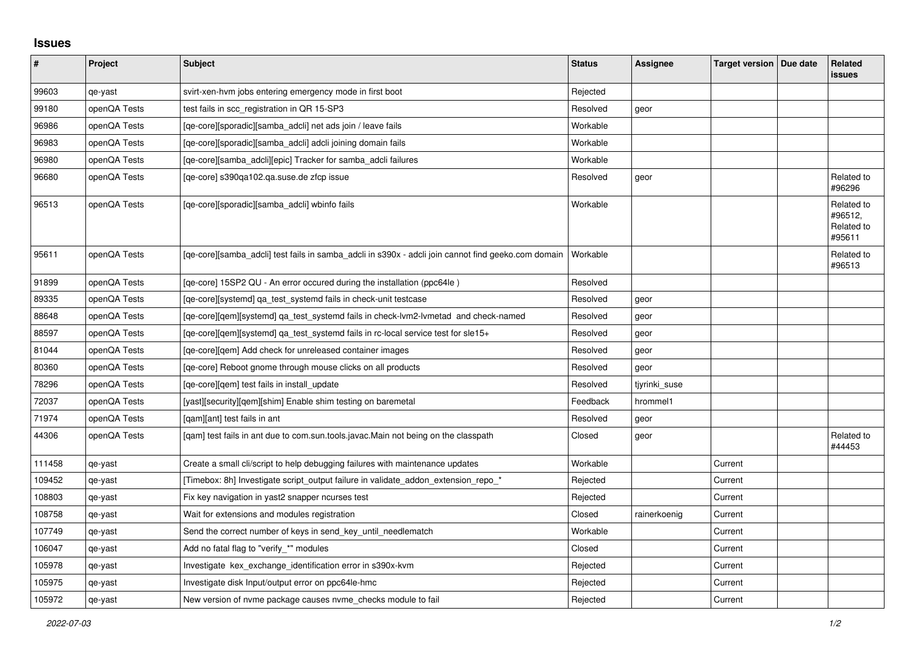## **Issues**

| $\vert$ # | Project      | <b>Subject</b>                                                                                      | <b>Status</b> | Assignee      | Target version   Due date | Related<br><b>issues</b>                      |
|-----------|--------------|-----------------------------------------------------------------------------------------------------|---------------|---------------|---------------------------|-----------------------------------------------|
| 99603     | qe-yast      | svirt-xen-hvm jobs entering emergency mode in first boot                                            | Rejected      |               |                           |                                               |
| 99180     | openQA Tests | test fails in scc_registration in QR 15-SP3                                                         | Resolved      | geor          |                           |                                               |
| 96986     | openQA Tests | [qe-core][sporadic][samba_adcli] net ads join / leave fails                                         | Workable      |               |                           |                                               |
| 96983     | openQA Tests | [ge-core][sporadic][samba adcli] adcli joining domain fails                                         | Workable      |               |                           |                                               |
| 96980     | openQA Tests | [qe-core][samba_adcli][epic] Tracker for samba_adcli failures                                       | Workable      |               |                           |                                               |
| 96680     | openQA Tests | [qe-core] s390qa102.qa.suse.de zfcp issue                                                           | Resolved      | geor          |                           | Related to<br>#96296                          |
| 96513     | openQA Tests | [qe-core][sporadic][samba_adcli] wbinfo fails                                                       | Workable      |               |                           | Related to<br>#96512,<br>Related to<br>#95611 |
| 95611     | openQA Tests | [qe-core][samba_adcli] test fails in samba_adcli in s390x - adcli join cannot find geeko.com domain | Workable      |               |                           | Related to<br>#96513                          |
| 91899     | openQA Tests | [qe-core] 15SP2 QU - An error occured during the installation (ppc64le)                             | Resolved      |               |                           |                                               |
| 89335     | openQA Tests | [qe-core][systemd] ga test systemd fails in check-unit testcase                                     | Resolved      | geor          |                           |                                               |
| 88648     | openQA Tests | [ge-core][gem][systemd] ga test systemd fails in check-lym2-lymetad and check-named                 | Resolved      | geor          |                           |                                               |
| 88597     | openQA Tests | [qe-core][gem][systemd] qa_test_systemd fails in rc-local service test for sle15+                   | Resolved      | geor          |                           |                                               |
| 81044     | openQA Tests | [ge-core][gem] Add check for unreleased container images                                            | Resolved      | geor          |                           |                                               |
| 80360     | openQA Tests | [ge-core] Reboot gnome through mouse clicks on all products                                         | Resolved      | geor          |                           |                                               |
| 78296     | openQA Tests | [qe-core][qem] test fails in install_update                                                         | Resolved      | tjyrinki_suse |                           |                                               |
| 72037     | openQA Tests | [yast][security][qem][shim] Enable shim testing on baremetal                                        | Feedback      | hrommel1      |                           |                                               |
| 71974     | openQA Tests | [gam][ant] test fails in ant                                                                        | Resolved      | geor          |                           |                                               |
| 44306     | openQA Tests | [qam] test fails in ant due to com.sun.tools.javac.Main not being on the classpath                  | Closed        | geor          |                           | Related to<br>#44453                          |
| 111458    | qe-yast      | Create a small cli/script to help debugging failures with maintenance updates                       | Workable      |               | Current                   |                                               |
| 109452    | qe-yast      | [Timebox: 8h] Investigate script_output failure in validate_addon_extension_repo_*                  | Rejected      |               | Current                   |                                               |
| 108803    | qe-yast      | Fix key navigation in yast2 snapper ncurses test                                                    | Rejected      |               | Current                   |                                               |
| 108758    | qe-yast      | Wait for extensions and modules registration                                                        | Closed        | rainerkoenig  | Current                   |                                               |
| 107749    | qe-yast      | Send the correct number of keys in send key until needlematch                                       | Workable      |               | Current                   |                                               |
| 106047    | qe-yast      | Add no fatal flag to "verify_*" modules                                                             | Closed        |               | Current                   |                                               |
| 105978    | qe-yast      | Investigate kex_exchange_identification error in s390x-kvm                                          | Rejected      |               | Current                   |                                               |
| 105975    | qe-yast      | Investigate disk Input/output error on ppc64le-hmc                                                  | Rejected      |               | Current                   |                                               |
| 105972    | qe-yast      | New version of nyme package causes nyme checks module to fail                                       | Rejected      |               | Current                   |                                               |